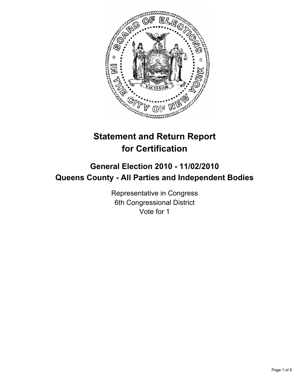

# **Statement and Return Report for Certification**

## **General Election 2010 - 11/02/2010 Queens County - All Parties and Independent Bodies**

Representative in Congress 6th Congressional District Vote for 1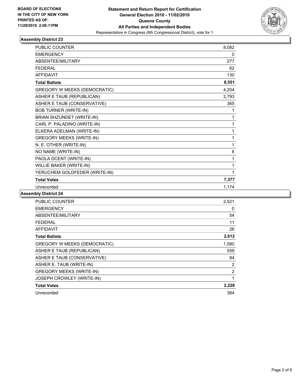

| <b>PUBLIC COUNTER</b>               | 8,082 |
|-------------------------------------|-------|
| <b>EMERGENCY</b>                    | 0     |
| ABSENTEE/MILITARY                   | 277   |
| <b>FEDERAL</b>                      | 62    |
| <b>AFFIDAVIT</b>                    | 130   |
| <b>Total Ballots</b>                | 8,551 |
| <b>GREGORY W MEEKS (DEMOCRATIC)</b> | 4,204 |
| ASHER E TAUB (REPUBLICAN)           | 2,793 |
| ASHER E TAUB (CONSERVATIVE)         | 365   |
| <b>BOB TURNER (WRITE-IN)</b>        | 1     |
| BRIAN SHZUNDET (WRITE-IN)           | 1     |
| CARL P. PALADINO (WRITE-IN)         | 1     |
| ELKERA ADELMAN (WRITE-IN)           | 1     |
| <b>GREGORY MEEKS (WRITE-IN)</b>     | 1     |
| N. E. OTHER (WRITE-IN)              | 1     |
| NO NAME (WRITE-IN)                  | 6     |
| PAOLA DCENT (WRITE-IN)              | 1     |
| WILLIE BAKER (WRITE-IN)             | 1     |
| YERUCHEM GOLDFEDER (WRITE-IN)       | 1     |
| <b>Total Votes</b>                  | 7,377 |
| Unrecorded                          | 1.174 |

| <b>PUBLIC COUNTER</b>               | 2,521 |
|-------------------------------------|-------|
| <b>EMERGENCY</b>                    | 0     |
| ABSENTEE/MILITARY                   | 54    |
| FEDERAL                             | 11    |
| AFFIDAVIT                           | 26    |
| <b>Total Ballots</b>                | 2,612 |
| <b>GREGORY W MEEKS (DEMOCRATIC)</b> | 1,580 |
| ASHER E TAUB (REPUBLICAN)           | 559   |
| ASHER E TAUB (CONSERVATIVE)         | 84    |
| ASHER E. TAUB (WRITE-IN)            | 2     |
| <b>GREGORY MEEKS (WRITE-IN)</b>     | 2     |
| JOSEPH CROWLEY (WRITE-IN)           | 1     |
| <b>Total Votes</b>                  | 2,228 |
| Unrecorded                          | 384   |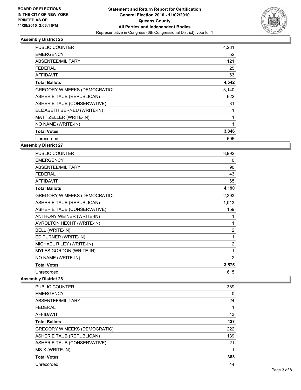

| PUBLIC COUNTER                      | 4,281 |
|-------------------------------------|-------|
| <b>EMERGENCY</b>                    | 52    |
| ABSENTEE/MILITARY                   | 121   |
| FEDERAL                             | 25    |
| <b>AFFIDAVIT</b>                    | 63    |
| <b>Total Ballots</b>                | 4,542 |
| <b>GREGORY W MEEKS (DEMOCRATIC)</b> | 3,140 |
| ASHER E TAUB (REPUBLICAN)           | 622   |
| ASHER E TAUB (CONSERVATIVE)         | 81    |
| ELIZABETH BERNEU (WRITE-IN)         | 1     |
| MATT ZELLER (WRITE-IN)              | 1     |
| NO NAME (WRITE-IN)                  | 1     |
| <b>Total Votes</b>                  | 3,846 |
| Unrecorded                          | 696   |

**Assembly District 27**

| <b>PUBLIC COUNTER</b>               | 3,992          |
|-------------------------------------|----------------|
| <b>EMERGENCY</b>                    | 0              |
| ABSENTEE/MILITARY                   | 90             |
| <b>FEDERAL</b>                      | 43             |
| <b>AFFIDAVIT</b>                    | 65             |
| <b>Total Ballots</b>                | 4,190          |
| <b>GREGORY W MEEKS (DEMOCRATIC)</b> | 2,393          |
| ASHER E TAUB (REPUBLICAN)           | 1,013          |
| ASHER E TAUB (CONSERVATIVE)         | 159            |
| ANTHONY WEINER (WRITE-IN)           | 1              |
| AVROLTON HECHT (WRITE-IN)           | 1              |
| <b>BELL (WRITE-IN)</b>              | $\overline{c}$ |
| ED TURNER (WRITE-IN)                | 1              |
| MICHAEL RILEY (WRITE-IN)            | $\overline{c}$ |
| MYLES GORDON (WRITE-IN)             | 1              |
| NO NAME (WRITE-IN)                  | $\overline{2}$ |
| <b>Total Votes</b>                  | 3,575          |
| Unrecorded                          | 615            |

| <b>PUBLIC COUNTER</b>               | 389 |
|-------------------------------------|-----|
| <b>EMERGENCY</b>                    | 0   |
| ABSENTEE/MILITARY                   | 24  |
| <b>FEDERAL</b>                      | 1   |
| AFFIDAVIT                           | 13  |
| <b>Total Ballots</b>                | 427 |
| <b>GREGORY W MEEKS (DEMOCRATIC)</b> | 222 |
| ASHER E TAUB (REPUBLICAN)           | 139 |
| ASHER E TAUB (CONSERVATIVE)         | 21  |
| MS X (WRITE-IN)                     |     |
| <b>Total Votes</b>                  | 383 |
| Unrecorded                          | 44  |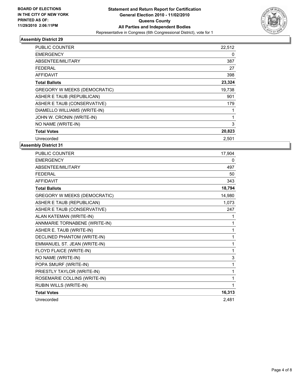

| PUBLIC COUNTER                      | 22,512 |
|-------------------------------------|--------|
| <b>EMERGENCY</b>                    | 0      |
| ABSENTEE/MILITARY                   | 387    |
| FEDERAL                             | 27     |
| <b>AFFIDAVIT</b>                    | 398    |
| <b>Total Ballots</b>                | 23,324 |
| <b>GREGORY W MEEKS (DEMOCRATIC)</b> | 19,738 |
| ASHER E TAUB (REPUBLICAN)           | 901    |
| ASHER E TAUB (CONSERVATIVE)         | 179    |
| DIAMELLO WILLIAMS (WRITE-IN)        | 1      |
| JOHN W. CRONIN (WRITE-IN)           | 1      |
| NO NAME (WRITE-IN)                  | 3      |
| <b>Total Votes</b>                  | 20,823 |
| Unrecorded                          | 2,501  |

| <b>PUBLIC COUNTER</b>               | 17,904       |
|-------------------------------------|--------------|
| <b>EMERGENCY</b>                    | 0            |
| ABSENTEE/MILITARY                   | 497          |
| <b>FEDERAL</b>                      | 50           |
| <b>AFFIDAVIT</b>                    | 343          |
| <b>Total Ballots</b>                | 18,794       |
| <b>GREGORY W MEEKS (DEMOCRATIC)</b> | 14,980       |
| ASHER E TAUB (REPUBLICAN)           | 1,073        |
| ASHER E TAUB (CONSERVATIVE)         | 247          |
| ALAN KATEMAN (WRITE-IN)             | 1            |
| ANNMARIE TORNABENE (WRITE-IN)       | 1            |
| ASHER E. TAUB (WRITE-IN)            | 1            |
| DECLINED PHANTOM (WRITE-IN)         | $\mathbf{1}$ |
| EMMANUEL ST. JEAN (WRITE-IN)        | 1            |
| FLOYD FLAICE (WRITE-IN)             | 1            |
| NO NAME (WRITE-IN)                  | 3            |
| POPA SMURF (WRITE-IN)               | 1            |
| PRIESTLY TAYLOR (WRITE-IN)          | 1            |
| ROSEMARIE COLLINS (WRITE-IN)        | 1            |
| <b>RUBIN WILLS (WRITE-IN)</b>       | 1            |
| <b>Total Votes</b>                  | 16,313       |
| Unrecorded                          | 2.481        |
|                                     |              |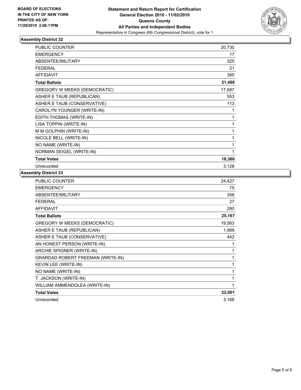

| PUBLIC COUNTER                      | 20,730 |
|-------------------------------------|--------|
| <b>EMERGENCY</b>                    | 17     |
| ABSENTEE/MILITARY                   | 325    |
| <b>FEDERAL</b>                      | 21     |
| <b>AFFIDAVIT</b>                    | 395    |
| <b>Total Ballots</b>                | 21,488 |
| <b>GREGORY W MEEKS (DEMOCRATIC)</b> | 17,687 |
| ASHER E TAUB (REPUBLICAN)           | 553    |
| ASHER E TAUB (CONSERVATIVE)         | 113    |
| CAROLYN YOUNGER (WRITE-IN)          | 1      |
| EDITH THOMAS (WRITE-IN)             | 1      |
| LISA TOPPIN (WRITE-IN)              | 1      |
| M M GOLPHIN (WRITE-IN)              | 1      |
| NICOLE BELL (WRITE-IN)              | 1      |
| NO NAME (WRITE-IN)                  | 1      |
| NORMAN SEIGEL (WRITE-IN)            | 1      |
| <b>Total Votes</b>                  | 18,360 |
| Unrecorded                          | 3,128  |

| <b>PUBLIC COUNTER</b>                    | 24,427       |
|------------------------------------------|--------------|
| <b>EMERGENCY</b>                         | 75           |
| ABSENTEE/MILITARY                        | 358          |
| <b>FEDERAL</b>                           | 27           |
| <b>AFFIDAVIT</b>                         | 280          |
| <b>Total Ballots</b>                     | 25,167       |
| <b>GREGORY W MEEKS (DEMOCRATIC)</b>      | 19,563       |
| ASHER E TAUB (REPUBLICAN)                | 1,989        |
| ASHER E TAUB (CONSERVATIVE)              | 442          |
| AN HONEST PERSON (WRITE-IN)              | 1            |
| ARCHIE SPIGNER (WRITE-IN)                | 1            |
| <b>GRARDAD ROBERT FREEMAN (WRITE-IN)</b> | 1            |
| KEVIN LEE (WRITE-IN)                     | $\mathbf{1}$ |
| NO NAME (WRITE-IN)                       | 1            |
| T. JACKSON (WRITE-IN)                    | 1            |
| WILLIAM AMMENDOLEA (WRITE-IN)            | 1            |
| <b>Total Votes</b>                       | 22,001       |
| Unrecorded                               | 3,166        |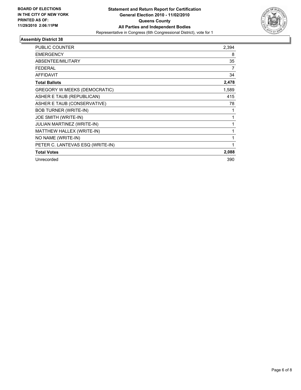

| <b>PUBLIC COUNTER</b>            | 2,394        |
|----------------------------------|--------------|
| <b>EMERGENCY</b>                 | 8            |
| ABSENTEE/MILITARY                | 35           |
| <b>FEDERAL</b>                   | 7            |
| <b>AFFIDAVIT</b>                 | 34           |
| <b>Total Ballots</b>             | 2,478        |
| GREGORY W MEEKS (DEMOCRATIC)     | 1,589        |
| ASHER E TAUB (REPUBLICAN)        | 415          |
| ASHER E TAUB (CONSERVATIVE)      | 78           |
| <b>BOB TURNER (WRITE-IN)</b>     | 1            |
| JOE SMITH (WRITE-IN)             | 1            |
| JULIAN MARTINEZ (WRITE-IN)       | 1            |
| MATTHEW HALLEX (WRITE-IN)        | 1            |
| NO NAME (WRITE-IN)               | 1            |
| PETER C. LANTEVAS ESQ (WRITE-IN) | $\mathbf{1}$ |
| <b>Total Votes</b>               | 2,088        |
| Unrecorded                       | 390          |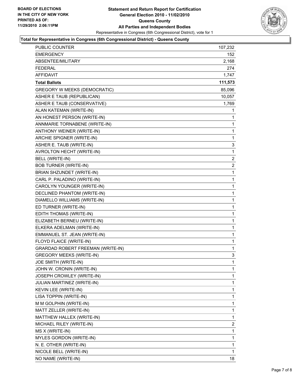

#### **Total for Representative in Congress (6th Congressional District) - Queens County**

| <b>PUBLIC COUNTER</b>               | 107,232        |
|-------------------------------------|----------------|
| <b>EMERGENCY</b>                    | 152            |
| ABSENTEE/MILITARY                   | 2,168          |
| FEDERAL                             | 274            |
| <b>AFFIDAVIT</b>                    | 1,747          |
| <b>Total Ballots</b>                | 111,573        |
| <b>GREGORY W MEEKS (DEMOCRATIC)</b> | 85,096         |
| ASHER E TAUB (REPUBLICAN)           | 10,057         |
| ASHER E TAUB (CONSERVATIVE)         | 1,769          |
| ALAN KATEMAN (WRITE-IN)             | 1              |
| AN HONEST PERSON (WRITE-IN)         | 1              |
| ANNMARIE TORNABENE (WRITE-IN)       | 1              |
| ANTHONY WEINER (WRITE-IN)           | 1              |
| ARCHIE SPIGNER (WRITE-IN)           | 1              |
| ASHER E. TAUB (WRITE-IN)            | 3              |
| AVROLTON HECHT (WRITE-IN)           | 1              |
| BELL (WRITE-IN)                     | $\overline{2}$ |
| <b>BOB TURNER (WRITE-IN)</b>        | 2              |
| BRIAN SHZUNDET (WRITE-IN)           | 1              |
| CARL P. PALADINO (WRITE-IN)         | 1              |
| CAROLYN YOUNGER (WRITE-IN)          | 1              |
| DECLINED PHANTOM (WRITE-IN)         | 1              |
| DIAMELLO WILLIAMS (WRITE-IN)        | 1              |
| ED TURNER (WRITE-IN)                | 1              |
| EDITH THOMAS (WRITE-IN)             | 1              |
| ELIZABETH BERNEU (WRITE-IN)         | 1              |
| ELKERA ADELMAN (WRITE-IN)           | 1              |
| EMMANUEL ST. JEAN (WRITE-IN)        | 1              |
| FLOYD FLAICE (WRITE-IN)             | 1              |
| GRARDAD ROBERT FREEMAN (WRITE-IN)   | 1              |
| <b>GREGORY MEEKS (WRITE-IN)</b>     | 3              |
| JOE SMITH (WRITE-IN)                | $\mathbf{1}$   |
| JOHN W. CRONIN (WRITE-IN)           | 1              |
| JOSEPH CROWLEY (WRITE-IN)           | 1              |
| JULIAN MARTINEZ (WRITE-IN)          | 1              |
| KEVIN LEE (WRITE-IN)                | 1              |
| LISA TOPPIN (WRITE-IN)              | 1              |
| M M GOLPHIN (WRITE-IN)              | 1              |
| MATT ZELLER (WRITE-IN)              | 1              |
| MATTHEW HALLEX (WRITE-IN)           | 1              |
| MICHAEL RILEY (WRITE-IN)            | 2              |
| MS X (WRITE-IN)                     | 1              |
| MYLES GORDON (WRITE-IN)             | 1              |
| N. E. OTHER (WRITE-IN)              | 1              |
| NICOLE BELL (WRITE-IN)              | 1              |
| NO NAME (WRITE-IN)                  | 18             |